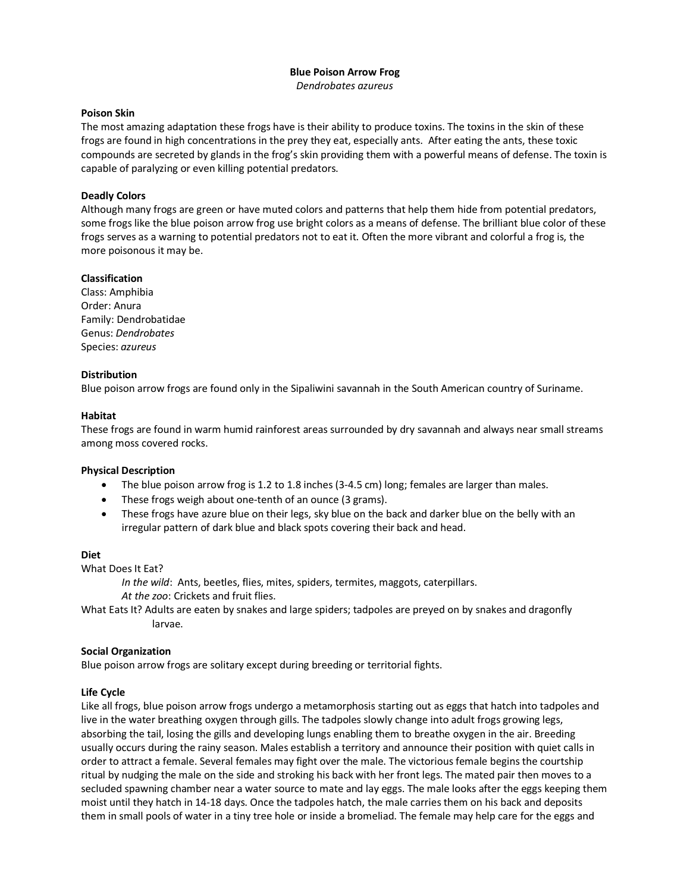# **Blue Poison Arrow Frog** *Dendrobates azureus*

### **Poison Skin**

The most amazing adaptation these frogs have is their ability to produce toxins. The toxins in the skin of these frogs are found in high concentrations in the prey they eat, especially ants. After eating the ants, these toxic compounds are secreted by glands in the frog's skin providing them with a powerful means of defense. The toxin is capable of paralyzing or even killing potential predators.

# **Deadly Colors**

Although many frogs are green or have muted colors and patterns that help them hide from potential predators, some frogs like the blue poison arrow frog use bright colors as a means of defense. The brilliant blue color of these frogs serves as a warning to potential predators not to eat it. Often the more vibrant and colorful a frog is, the more poisonous it may be.

#### **Classification**

Class: Amphibia Order: Anura Family: Dendrobatidae Genus: *Dendrobates* Species: *azureus*

## **Distribution**

Blue poison arrow frogs are found only in the Sipaliwini savannah in the South American country of Suriname.

#### **Habitat**

These frogs are found in warm humid rainforest areas surrounded by dry savannah and always near small streams among moss covered rocks.

#### **Physical Description**

- The blue poison arrow frog is 1.2 to 1.8 inches (3-4.5 cm) long; females are larger than males.
- These frogs weigh about one-tenth of an ounce (3 grams).
- These frogs have azure blue on their legs, sky blue on the back and darker blue on the belly with an irregular pattern of dark blue and black spots covering their back and head.

#### **Diet**

What Does It Eat?

*In the wild*: Ants, beetles, flies, mites, spiders, termites, maggots, caterpillars.

*At the zoo*: Crickets and fruit flies.

What Eats It? Adults are eaten by snakes and large spiders; tadpoles are preyed on by snakes and dragonfly larvae.

#### **Social Organization**

Blue poison arrow frogs are solitary except during breeding or territorial fights.

#### **Life Cycle**

Like all frogs, blue poison arrow frogs undergo a metamorphosis starting out as eggs that hatch into tadpoles and live in the water breathing oxygen through gills. The tadpoles slowly change into adult frogs growing legs, absorbing the tail, losing the gills and developing lungs enabling them to breathe oxygen in the air. Breeding usually occurs during the rainy season. Males establish a territory and announce their position with quiet calls in order to attract a female. Several females may fight over the male. The victorious female begins the courtship ritual by nudging the male on the side and stroking his back with her front legs. The mated pair then moves to a secluded spawning chamber near a water source to mate and lay eggs. The male looks after the eggs keeping them moist until they hatch in 14-18 days. Once the tadpoles hatch, the male carries them on his back and deposits them in small pools of water in a tiny tree hole or inside a bromeliad. The female may help care for the eggs and